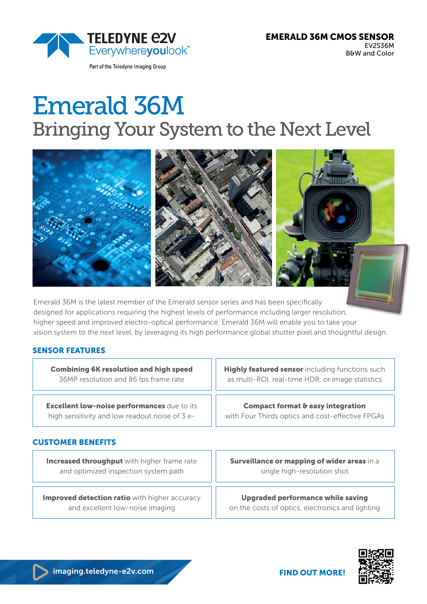

Part of the Teledyne Imaging Group

# Emerald 36M Bringing Your System to the Next Level



Emerald 36M is the latest member of the Emerald sensor series and has been specifically designed for applications requiring the highest levels of performance including larger resolution, higher speed and improved electro-optical performance. Emerald 36M will enable you to take your vision system to the next level, by leveraging its high performance global shutter pixel and thoughtful design.

## SENSOR FEATURES

Combining 6K resolution and high speed 36MP resolution and 86 fps frame rate

**Excellent low-noise performances** due to its high sensitivity and low readout noise of 3 e**Highly featured sensor** including functions such as multi-ROI, real-time HDR, or image statistics

Compact format & easy integration

with Four Thirds optics and cost-effective FPGAs

## CUSTOMER BENEFITS

**Increased throughput** with higher frame rate and optimized inspection system path

Improved detection ratio with higher accuracy and excellent low-noise imaging

Surveillance or mapping of wider areas in a single high-resolution shot

Upgraded performance while saving on the costs of optics, electronics and lighting